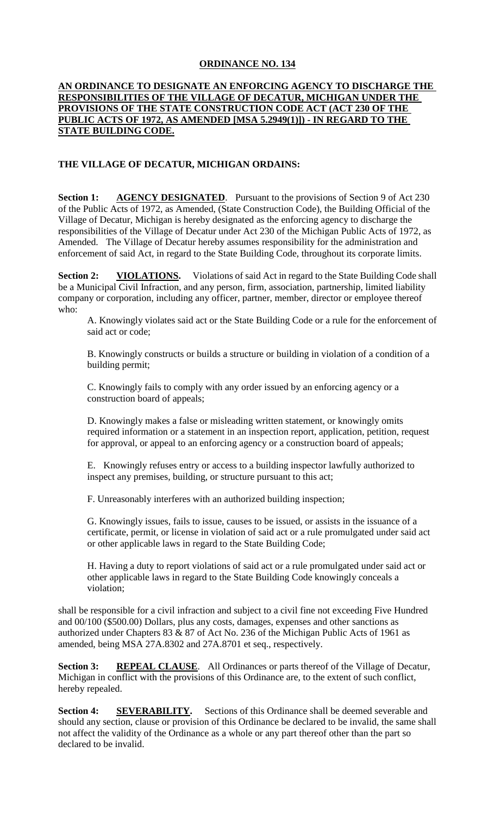## **ORDINANCE NO. 134**

## **AN ORDINANCE TO DESIGNATE AN ENFORCING AGENCY TO DISCHARGE THE RESPONSIBILITIES OF THE VILLAGE OF DECATUR, MICHIGAN UNDER THE PROVISIONS OF THE STATE CONSTRUCTION CODE ACT (ACT 230 OF THE PUBLIC ACTS OF 1972, AS AMENDED [MSA 5.2949(1)]) - IN REGARD TO THE STATE BUILDING CODE.**

## **THE VILLAGE OF DECATUR, MICHIGAN ORDAINS:**

**Section 1: AGENCY DESIGNATED**. Pursuant to the provisions of Section 9 of Act 230 of the Public Acts of 1972, as Amended, (State Construction Code), the Building Official of the Village of Decatur, Michigan is hereby designated as the enforcing agency to discharge the responsibilities of the Village of Decatur under Act 230 of the Michigan Public Acts of 1972, as Amended. The Village of Decatur hereby assumes responsibility for the administration and enforcement of said Act, in regard to the State Building Code, throughout its corporate limits.

**Section 2:** VIOLATIONS. Violations of said Act in regard to the State Building Code shall be a Municipal Civil Infraction, and any person, firm, association, partnership, limited liability company or corporation, including any officer, partner, member, director or employee thereof who:

A. Knowingly violates said act or the State Building Code or a rule for the enforcement of said act or code;

B. Knowingly constructs or builds a structure or building in violation of a condition of a building permit;

C. Knowingly fails to comply with any order issued by an enforcing agency or a construction board of appeals;

D. Knowingly makes a false or misleading written statement, or knowingly omits required information or a statement in an inspection report, application, petition, request for approval, or appeal to an enforcing agency or a construction board of appeals;

E. Knowingly refuses entry or access to a building inspector lawfully authorized to inspect any premises, building, or structure pursuant to this act;

F. Unreasonably interferes with an authorized building inspection;

G. Knowingly issues, fails to issue, causes to be issued, or assists in the issuance of a certificate, permit, or license in violation of said act or a rule promulgated under said act or other applicable laws in regard to the State Building Code;

H. Having a duty to report violations of said act or a rule promulgated under said act or other applicable laws in regard to the State Building Code knowingly conceals a violation;

shall be responsible for a civil infraction and subject to a civil fine not exceeding Five Hundred and 00/100 (\$500.00) Dollars, plus any costs, damages, expenses and other sanctions as authorized under Chapters 83 & 87 of Act No. 236 of the Michigan Public Acts of 1961 as amended, being MSA 27A.8302 and 27A.8701 et seq., respectively.

**Section 3: REPEAL CLAUSE**. All Ordinances or parts thereof of the Village of Decatur, Michigan in conflict with the provisions of this Ordinance are, to the extent of such conflict, hereby repealed.

**Section 4: SEVERABILITY.** Sections of this Ordinance shall be deemed severable and should any section, clause or provision of this Ordinance be declared to be invalid, the same shall not affect the validity of the Ordinance as a whole or any part thereof other than the part so declared to be invalid.